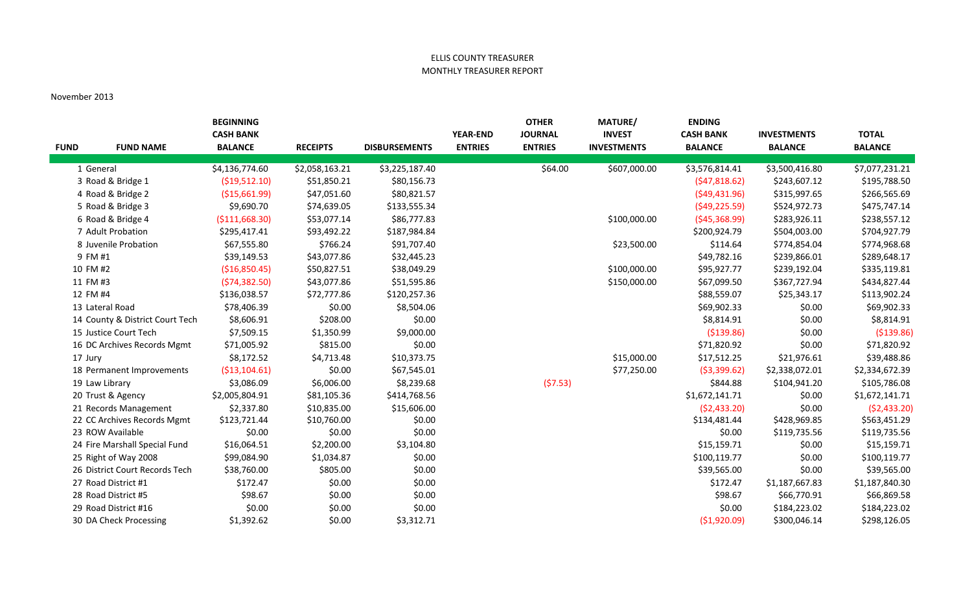## ELLIS COUNTY TREASURER MONTHLY TREASURER REPORT

## November 2013

|             |                                 | <b>BEGINNING</b><br><b>CASH BANK</b> |                 |                      | <b>YEAR-END</b> | <b>OTHER</b><br><b>JOURNAL</b> | <b>MATURE/</b><br><b>INVEST</b> | <b>ENDING</b><br><b>CASH BANK</b> |                                      | <b>TOTAL</b>   |
|-------------|---------------------------------|--------------------------------------|-----------------|----------------------|-----------------|--------------------------------|---------------------------------|-----------------------------------|--------------------------------------|----------------|
| <b>FUND</b> | <b>FUND NAME</b>                | <b>BALANCE</b>                       | <b>RECEIPTS</b> | <b>DISBURSEMENTS</b> | <b>ENTRIES</b>  | <b>ENTRIES</b>                 | <b>INVESTMENTS</b>              | <b>BALANCE</b>                    | <b>INVESTMENTS</b><br><b>BALANCE</b> | <b>BALANCE</b> |
|             | 1 General                       | \$4,136,774.60                       | \$2,058,163.21  | \$3,225,187.40       |                 | \$64.00                        | \$607,000.00                    | \$3,576,814.41                    | \$3,500,416.80                       | \$7,077,231.21 |
|             | 3 Road & Bridge 1               | ( \$19,512.10)                       | \$51,850.21     | \$80,156.73          |                 |                                |                                 | (547, 818.62)                     | \$243,607.12                         | \$195,788.50   |
|             | 4 Road & Bridge 2               | ( \$15,661.99)                       | \$47,051.60     | \$80,821.57          |                 |                                |                                 | (549, 431.96)                     | \$315,997.65                         | \$266,565.69   |
|             | 5 Road & Bridge 3               | \$9,690.70                           | \$74,639.05     | \$133,555.34         |                 |                                |                                 | (549, 225.59)                     | \$524,972.73                         | \$475,747.14   |
|             | 6 Road & Bridge 4               | ( \$111,668.30)                      | \$53,077.14     | \$86,777.83          |                 |                                | \$100,000.00                    | (545, 368.99)                     | \$283,926.11                         | \$238,557.12   |
|             | 7 Adult Probation               | \$295,417.41                         | \$93,492.22     | \$187,984.84         |                 |                                |                                 | \$200,924.79                      | \$504,003.00                         | \$704,927.79   |
|             | 8 Juvenile Probation            | \$67,555.80                          | \$766.24        | \$91,707.40          |                 |                                | \$23,500.00                     | \$114.64                          | \$774,854.04                         | \$774,968.68   |
|             | 9 FM #1                         | \$39,149.53                          | \$43,077.86     | \$32,445.23          |                 |                                |                                 | \$49,782.16                       | \$239,866.01                         | \$289,648.17   |
|             | 10 FM #2                        | (\$16,850.45)                        | \$50,827.51     | \$38,049.29          |                 |                                | \$100,000.00                    | \$95,927.77                       | \$239,192.04                         | \$335,119.81   |
|             | 11 FM #3                        | (574, 382.50)                        | \$43,077.86     | \$51,595.86          |                 |                                | \$150,000.00                    | \$67,099.50                       | \$367,727.94                         | \$434,827.44   |
|             | 12 FM #4                        | \$136,038.57                         | \$72,777.86     | \$120,257.36         |                 |                                |                                 | \$88,559.07                       | \$25,343.17                          | \$113,902.24   |
|             | 13 Lateral Road                 | \$78,406.39                          | \$0.00          | \$8,504.06           |                 |                                |                                 | \$69,902.33                       | \$0.00                               | \$69,902.33    |
|             | 14 County & District Court Tech | \$8,606.91                           | \$208.00        | \$0.00               |                 |                                |                                 | \$8,814.91                        | \$0.00                               | \$8,814.91     |
|             | 15 Justice Court Tech           | \$7,509.15                           | \$1,350.99      | \$9,000.00           |                 |                                |                                 | ( \$139.86)                       | \$0.00                               | ( \$139.86)    |
|             | 16 DC Archives Records Mgmt     | \$71,005.92                          | \$815.00        | \$0.00               |                 |                                |                                 | \$71,820.92                       | \$0.00                               | \$71,820.92    |
|             | 17 Jury                         | \$8,172.52                           | \$4,713.48      | \$10,373.75          |                 |                                | \$15,000.00                     | \$17,512.25                       | \$21,976.61                          | \$39,488.86    |
|             | 18 Permanent Improvements       | (\$13,104.61)                        | \$0.00          | \$67,545.01          |                 |                                | \$77,250.00                     | ( \$3,399.62)                     | \$2,338,072.01                       | \$2,334,672.39 |
|             | 19 Law Library                  | \$3,086.09                           | \$6,006.00      | \$8,239.68           |                 | (57.53)                        |                                 | \$844.88                          | \$104,941.20                         | \$105,786.08   |
|             | 20 Trust & Agency               | \$2,005,804.91                       | \$81,105.36     | \$414,768.56         |                 |                                |                                 | \$1,672,141.71                    | \$0.00                               | \$1,672,141.71 |
|             | 21 Records Management           | \$2,337.80                           | \$10,835.00     | \$15,606.00          |                 |                                |                                 | (52, 433.20)                      | \$0.00                               | (52, 433.20)   |
|             | 22 CC Archives Records Mgmt     | \$123,721.44                         | \$10,760.00     | \$0.00               |                 |                                |                                 | \$134,481.44                      | \$428,969.85                         | \$563,451.29   |
|             | 23 ROW Available                | \$0.00                               | \$0.00          | \$0.00               |                 |                                |                                 | \$0.00                            | \$119,735.56                         | \$119,735.56   |
|             | 24 Fire Marshall Special Fund   | \$16,064.51                          | \$2,200.00      | \$3,104.80           |                 |                                |                                 | \$15,159.71                       | \$0.00                               | \$15,159.71    |
|             | 25 Right of Way 2008            | \$99,084.90                          | \$1,034.87      | \$0.00               |                 |                                |                                 | \$100,119.77                      | \$0.00                               | \$100,119.77   |
|             | 26 District Court Records Tech  | \$38,760.00                          | \$805.00        | \$0.00               |                 |                                |                                 | \$39,565.00                       | \$0.00                               | \$39,565.00    |
|             | 27 Road District #1             | \$172.47                             | \$0.00          | \$0.00               |                 |                                |                                 | \$172.47                          | \$1,187,667.83                       | \$1,187,840.30 |
|             | 28 Road District #5             | \$98.67                              | \$0.00          | \$0.00               |                 |                                |                                 | \$98.67                           | \$66,770.91                          | \$66,869.58    |
|             | 29 Road District #16            | \$0.00                               | \$0.00          | \$0.00               |                 |                                |                                 | \$0.00                            | \$184,223.02                         | \$184,223.02   |
|             | 30 DA Check Processing          | \$1,392.62                           | \$0.00          | \$3,312.71           |                 |                                |                                 | (\$1,920.09)                      | \$300,046.14                         | \$298,126.05   |